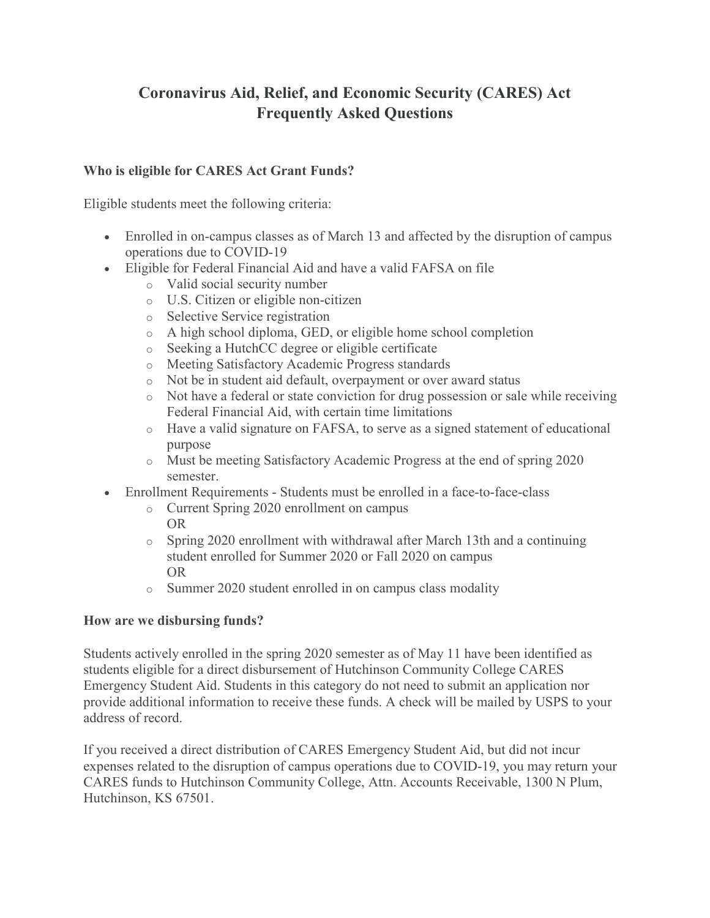# **Coronavirus Aid, Relief, and Economic Security (CARES) Act Frequently Asked Questions**

#### **Who is eligible for CARES Act Grant Funds?**

Eligible students meet the following criteria:

- Enrolled in on-campus classes as of March 13 and affected by the disruption of campus operations due to COVID-19
- Eligible for Federal Financial Aid and have a valid FAFSA on file
	- o Valid social security number
	- o U.S. Citizen or eligible non-citizen
	- o Selective Service registration
	- o A high school diploma, GED, or eligible home school completion
	- o Seeking a HutchCC degree or eligible certificate
	- o Meeting Satisfactory Academic Progress standards
	- o Not be in student aid default, overpayment or over award status
	- o Not have a federal or state conviction for drug possession or sale while receiving Federal Financial Aid, with certain time limitations
	- o Have a valid signature on FAFSA, to serve as a signed statement of educational purpose
	- o Must be meeting Satisfactory Academic Progress at the end of spring 2020 semester.
- Enrollment Requirements Students must be enrolled in a face-to-face-class
	- o Current Spring 2020 enrollment on campus OR
	- o Spring 2020 enrollment with withdrawal after March 13th and a continuing student enrolled for Summer 2020 or Fall 2020 on campus OR
	- o Summer 2020 student enrolled in on campus class modality

#### **How are we disbursing funds?**

Students actively enrolled in the spring 2020 semester as of May 11 have been identified as students eligible for a direct disbursement of Hutchinson Community College CARES Emergency Student Aid. Students in this category do not need to submit an application nor provide additional information to receive these funds. A check will be mailed by USPS to your address of record.

If you received a direct distribution of CARES Emergency Student Aid, but did not incur expenses related to the disruption of campus operations due to COVID-19, you may return your CARES funds to Hutchinson Community College, Attn. Accounts Receivable, 1300 N Plum, Hutchinson, KS 67501.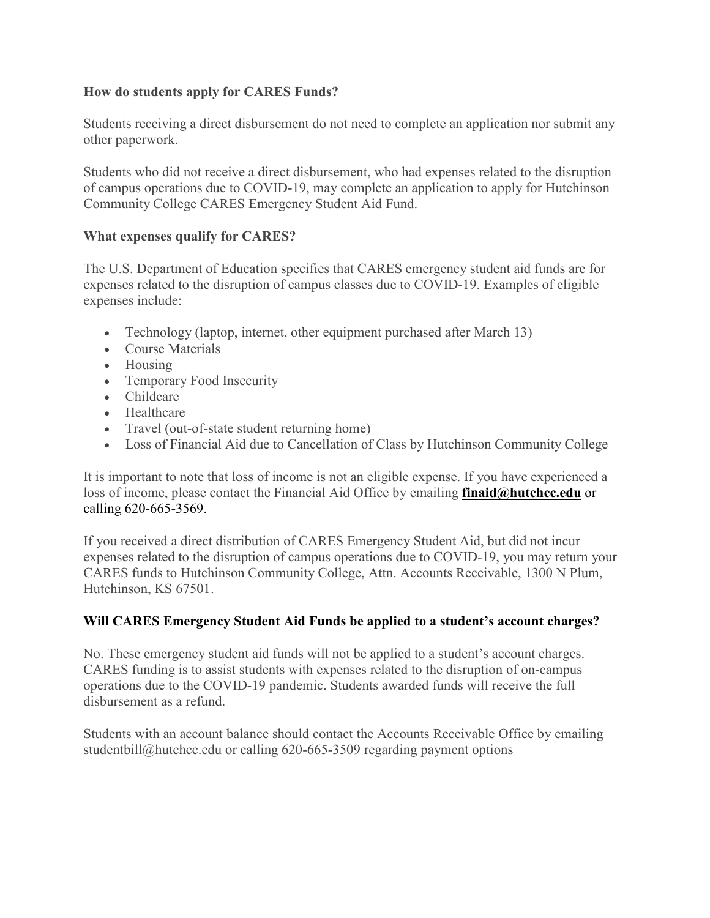## **How do students apply for CARES Funds?**

Students receiving a direct disbursement do not need to complete an application nor submit any other paperwork.

Students who did not receive a direct disbursement, who had expenses related to the disruption of campus operations due to COVID-19, may complete an application to apply for Hutchinson Community College CARES Emergency Student Aid Fund.

#### **What expenses qualify for CARES?**

The U.S. Department of Education specifies that CARES emergency student aid funds are for expenses related to the disruption of campus classes due to COVID-19. Examples of eligible expenses include:

- Technology (laptop, internet, other equipment purchased after March 13)
- Course Materials
- Housing
- Temporary Food Insecurity
- Childcare
- Healthcare
- Travel (out-of-state student returning home)
- Loss of Financial Aid due to Cancellation of Class by Hutchinson Community College

It is important to note that loss of income is not an eligible expense. If you have experienced a loss of income, please contact the Financial Aid Office by emailing **[finaid@hutchcc.edu](mailto:finaid@hutchcc.edu?subject=CARES%20Question)** or calling 620-665-3569.

If you received a direct distribution of CARES Emergency Student Aid, but did not incur expenses related to the disruption of campus operations due to COVID-19, you may return your CARES funds to Hutchinson Community College, Attn. Accounts Receivable, 1300 N Plum, Hutchinson, KS 67501.

# **Will CARES Emergency Student Aid Funds be applied to a student's account charges?**

No. These emergency student aid funds will not be applied to a student's account charges. CARES funding is to assist students with expenses related to the disruption of on-campus operations due to the COVID-19 pandemic. Students awarded funds will receive the full disbursement as a refund.

Students with an account balance should contact the Accounts Receivable Office by emailing studentbill@hutchcc.edu or calling 620-665-3509 regarding payment options